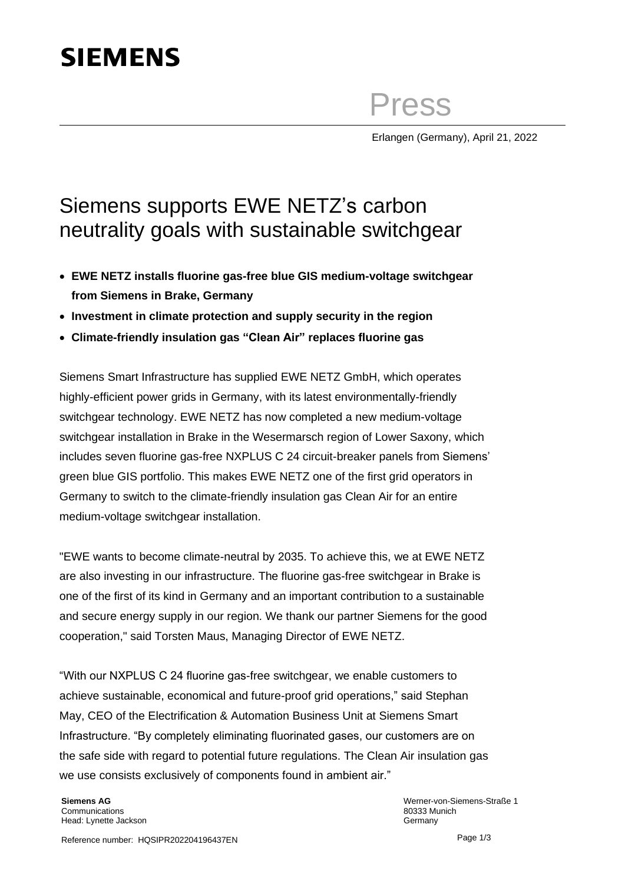## **SIEMENS**

Press

Erlangen (Germany), April 21, 2022

## Siemens supports EWE NETZ's carbon neutrality goals with sustainable switchgear

- **EWE NETZ installs fluorine gas-free blue GIS medium-voltage switchgear from Siemens in Brake, Germany**
- **Investment in climate protection and supply security in the region**
- **Climate-friendly insulation gas "Clean Air" replaces fluorine gas**

Siemens Smart Infrastructure has supplied EWE NETZ GmbH, which operates highly-efficient power grids in Germany, with its latest environmentally-friendly switchgear technology. EWE NETZ has now completed a new medium-voltage switchgear installation in Brake in the Wesermarsch region of Lower Saxony, which includes seven fluorine gas-free NXPLUS C 24 circuit-breaker panels from Siemens' green blue GIS portfolio. This makes EWE NETZ one of the first grid operators in Germany to switch to the climate-friendly insulation gas Clean Air for an entire medium-voltage switchgear installation.

"EWE wants to become climate-neutral by 2035. To achieve this, we at EWE NETZ are also investing in our infrastructure. The fluorine gas-free switchgear in Brake is one of the first of its kind in Germany and an important contribution to a sustainable and secure energy supply in our region. We thank our partner Siemens for the good cooperation," said Torsten Maus, Managing Director of EWE NETZ.

"With our NXPLUS C 24 fluorine gas-free switchgear, we enable customers to achieve sustainable, economical and future-proof grid operations," said Stephan May, CEO of the Electrification & Automation Business Unit at Siemens Smart Infrastructure. "By completely eliminating fluorinated gases, our customers are on the safe side with regard to potential future regulations. The Clean Air insulation gas we use consists exclusively of components found in ambient air."

**Siemens AG Communications** Head: Lynette Jackson

Werner-von-Siemens-Straße 1 80333 Munich Germany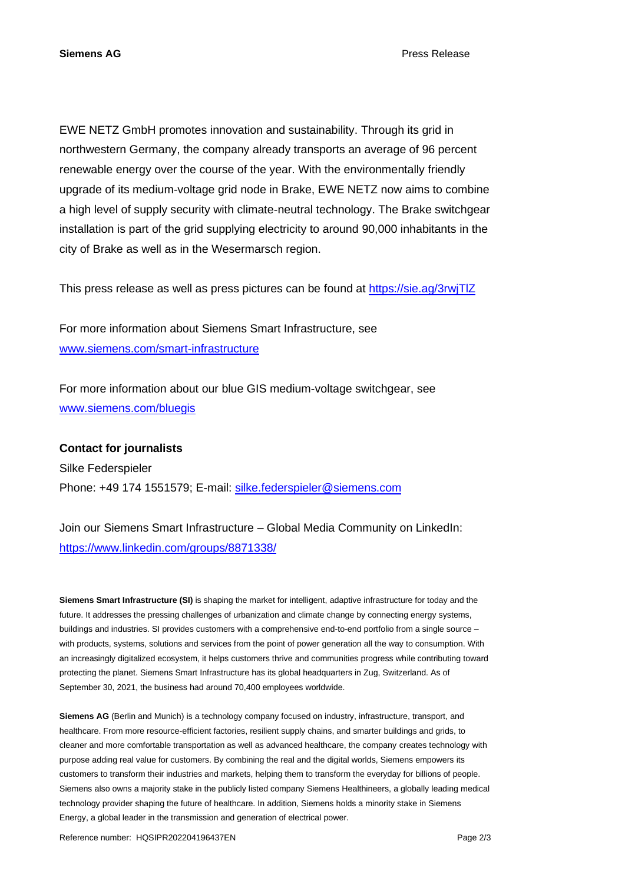EWE NETZ GmbH promotes innovation and sustainability. Through its grid in northwestern Germany, the company already transports an average of 96 percent renewable energy over the course of the year. With the environmentally friendly upgrade of its medium-voltage grid node in Brake, EWE NETZ now aims to combine a high level of supply security with climate-neutral technology. The Brake switchgear installation is part of the grid supplying electricity to around 90,000 inhabitants in the city of Brake as well as in the Wesermarsch region.

This press release as well as press pictures can be found at<https://sie.ag/3rwjTlZ>

For more information about Siemens Smart Infrastructure, see [www.siemens.com/smart-infrastructure](https://new.siemens.com/global/en/company/topic-areas/smart-infrastructure.html)

For more information about our blue GIS medium-voltage switchgear, see [www.siemens.com/bluegis](http://www.siemens.com/bluegis)

**Contact for journalists** Silke Federspieler Phone: +49 174 1551579; E-mail: [silke.federspieler@siemens.com](mailto:silke.federspieler@siemens.com)

Join our Siemens Smart Infrastructure – Global Media Community on LinkedIn: <https://www.linkedin.com/groups/8871338/>

**Siemens Smart Infrastructure (SI)** is shaping the market for intelligent, adaptive infrastructure for today and the future. It addresses the pressing challenges of urbanization and climate change by connecting energy systems, buildings and industries. SI provides customers with a comprehensive end-to-end portfolio from a single source – with products, systems, solutions and services from the point of power generation all the way to consumption. With an increasingly digitalized ecosystem, it helps customers thrive and communities progress while contributing toward protecting the planet. Siemens Smart Infrastructure has its global headquarters in Zug, Switzerland. As of September 30, 2021, the business had around 70,400 employees worldwide.

**Siemens AG** (Berlin and Munich) is a technology company focused on industry, infrastructure, transport, and healthcare. From more resource-efficient factories, resilient supply chains, and smarter buildings and grids, to cleaner and more comfortable transportation as well as advanced healthcare, the company creates technology with purpose adding real value for customers. By combining the real and the digital worlds, Siemens empowers its customers to transform their industries and markets, helping them to transform the everyday for billions of people. Siemens also owns a majority stake in the publicly listed company Siemens Healthineers, a globally leading medical technology provider shaping the future of healthcare. In addition, Siemens holds a minority stake in Siemens Energy, a global leader in the transmission and generation of electrical power.

Reference number: HQSIPR202204196437EN Page 2/3